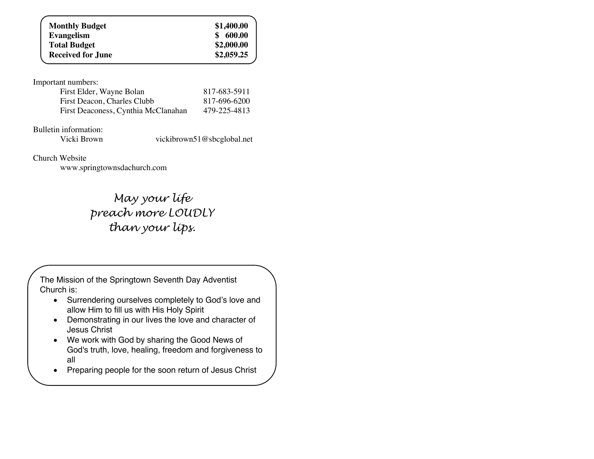| <b>Monthly Budget</b>    | \$1,400.00   |
|--------------------------|--------------|
| <b>Evangelism</b>        | 600.00<br>\$ |
| <b>Total Budget</b>      | \$2,000.00   |
| <b>Received for June</b> | \$2,059.25   |
|                          |              |

Important numbers:

| First Elder, Wayne Bolan            | 817-683-5911 |
|-------------------------------------|--------------|
| First Deacon, Charles Clubb         | 817-696-6200 |
| First Deaconess, Cynthia McClanahan | 479-225-4813 |

Bulletin information:<br>Vicki Brown

vickibrown51@sbcglobal.net

Church Website

www.springtownsdachurch.com

*May your life preach more LOUDLY than your lips.*

The Mission of the Springtown Seventh Day Adventist Church is:

- Surrendering ourselves completely to God's love and allow Him to fill us with His Holy Spirit
- Demonstrating in our lives the love and character of Jesus Christ
- We work with God by sharing the Good News of God's truth, love, healing, freedom and forgiveness to all
- Preparing people for the soon return of Jesus Christ